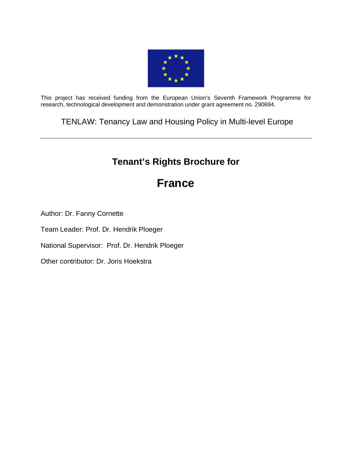

This project has received funding from the European Union's Seventh Framework Programme for research, technological development and demonstration under grant agreement no. 290694.

TENLAW: Tenancy Law and Housing Policy in Multi-level Europe

## **Tenant's Rights Brochure for**

# **France**

Author: Dr. Fanny Cornette

Team Leader: Prof. Dr. Hendrik Ploeger

National Supervisor: Prof. Dr. Hendrik Ploeger

Other contributor: Dr. Joris Hoekstra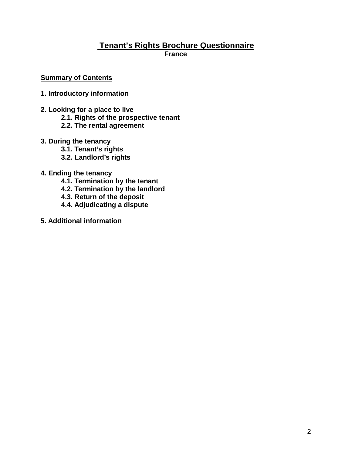## **Tenant's Rights Brochure Questionnaire France**

## **Summary of Contents**

- **1. Introductory information**
- **2. Looking for a place to live**
	- **2.1. Rights of the prospective tenant**
	- **2.2. The rental agreement**
- **3. During the tenancy**
	- **3.1. Tenant's rights**
	- **3.2. Landlord's rights**
- **4. Ending the tenancy**
	- **4.1. Termination by the tenant**
	- **4.2. Termination by the landlord**
	- **4.3. Return of the deposit**
	- **4.4. Adjudicating a dispute**
- **5. Additional information**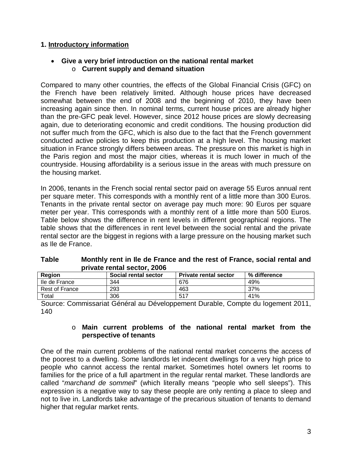## **1. Introductory information**

## • **Give a very brief introduction on the national rental market** o **Current supply and demand situation**

Compared to many other countries, the effects of the Global Financial Crisis (GFC) on the French have been relatively limited. Although house prices have decreased somewhat between the end of 2008 and the beginning of 2010, they have been increasing again since then. In nominal terms, current house prices are already higher than the pre-GFC peak level. However, since 2012 house prices are slowly decreasing again, due to deteriorating economic and credit conditions. The housing production did not suffer much from the GFC, which is also due to the fact that the French government conducted active policies to keep this production at a high level. The housing market situation in France strongly differs between areas. The pressure on this market is high in the Paris region and most the major cities, whereas it is much lower in much of the countryside. Housing affordability is a serious issue in the areas with much pressure on the housing market.

In 2006, tenants in the French social rental sector paid on average 55 Euros annual rent per square meter. This corresponds with a monthly rent of a little more than 300 Euros. Tenants in the private rental sector on average pay much more: 90 Euros per square meter per year. This corresponds with a monthly rent of a little more than 500 Euros. Table below shows the difference in rent levels in different geographical regions. The table shows that the differences in rent level between the social rental and the private rental sector are the biggest in regions with a large pressure on the housing market such as Ile de France.

| <b>DIIVALE FEILLAI SECLUI, ZUUD</b> |                      |                              |              |
|-------------------------------------|----------------------|------------------------------|--------------|
| <b>Region</b>                       | Social rental sector | <b>Private rental sector</b> | % difference |
| Ile de France                       | 344                  | 676                          | 49%          |
| Rest of France                      | 293                  | 463                          | 37%          |
| Total                               | 306                  | 517                          | 41%          |

| Table | Monthly rent in Ile de France and the rest of France, social rental and |
|-------|-------------------------------------------------------------------------|
|       | private rental sector, 2006                                             |

Source: Commissariat Général au Développement Durable, Compte du logement 2011, 140

## o **Main current problems of the national rental market from the perspective of tenants**

One of the main current problems of the national rental market concerns the access of the poorest to a dwelling. Some landlords let indecent dwellings for a very high price to people who cannot access the rental market. Sometimes hotel owners let rooms to families for the price of a full apartment in the regular rental market. These landlords are called "*marchand de sommeil*" (which literally means "people who sell sleeps"). This expression is a negative way to say these people are only renting a place to sleep and not to live in. Landlords take advantage of the precarious situation of tenants to demand higher that regular market rents.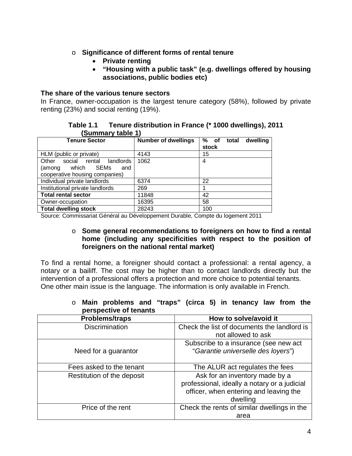- o **Significance of different forms of rental tenure**
	- **Private renting**
	- **"Housing with a public task" (e.g. dwellings offered by housing associations, public bodies etc)**

## **The share of the various tenure sectors**

In France, owner-occupation is the largest tenure category (58%), followed by private renting (23%) and social renting (19%).

**Table 1.1 Tenure distribution in France (\* 1000 dwellings), 2011 (Summary table 1)**

| <del>-----------</del><br>.                                                                             |                            |                                    |
|---------------------------------------------------------------------------------------------------------|----------------------------|------------------------------------|
| <b>Tenure Sector</b>                                                                                    | <b>Number of dwellings</b> | % of<br>dwelling<br>total<br>stock |
| HLM (public or private)                                                                                 | 4143                       | 15                                 |
| social<br>landlords<br>Other<br>rental<br>which SEMs<br>(among<br>and<br>cooperative housing companies) | 1062                       | 4                                  |
| Individual private landlords                                                                            | 6374                       | 22                                 |
| Institutional private landlords                                                                         | 269                        |                                    |
| <b>Total rental sector</b>                                                                              | 11848                      | 42                                 |
| Owner-occupation                                                                                        | 16395                      | 58                                 |
| <b>Total dwelling stock</b>                                                                             | 28243                      | 100                                |

Source: Commissariat Général au Développement Durable, Compte du logement 2011

#### o **Some general recommendations to foreigners on how to find a rental home (including any specificities with respect to the position of foreigners on the national rental market)**

To find a rental home, a foreigner should contact a professional: a rental agency, a notary or a bailiff. The cost may be higher than to contact landlords directly but the intervention of a professional offers a protection and more choice to potential tenants. One other main issue is the language. The information is only available in French.

| <b>Problems/traps</b>      | How to solve/avoid it                        |
|----------------------------|----------------------------------------------|
| <b>Discrimination</b>      | Check the list of documents the landlord is  |
|                            | not allowed to ask                           |
|                            | Subscribe to a insurance (see new act)       |
| Need for a guarantor       | "Garantie universelle des loyers")           |
|                            |                                              |
| Fees asked to the tenant   | The ALUR act regulates the fees              |
| Restitution of the deposit | Ask for an inventory made by a               |
|                            | professional, ideally a notary or a judicial |
|                            | officer, when entering and leaving the       |
|                            | dwelling                                     |
| Price of the rent          | Check the rents of similar dwellings in the  |
|                            | area                                         |

o **Main problems and "traps" (circa 5) in tenancy law from the perspective of tenants**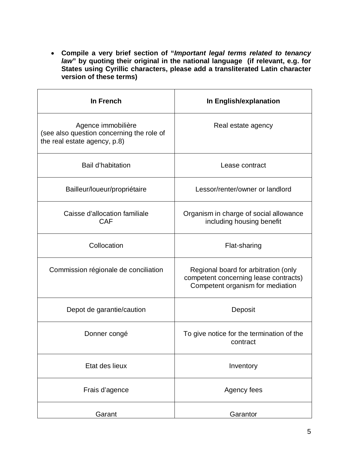• **Compile a very brief section of "***Important legal terms related to tenancy law***" by quoting their original in the national language (if relevant, e.g. for States using Cyrillic characters, please add a transliterated Latin character version of these terms)** 

| In French                                                                                       | In English/explanation                                                                                            |
|-------------------------------------------------------------------------------------------------|-------------------------------------------------------------------------------------------------------------------|
| Agence immobilière<br>(see also question concerning the role of<br>the real estate agency, p.8) | Real estate agency                                                                                                |
| Bail d'habitation                                                                               | Lease contract                                                                                                    |
| Bailleur/loueur/propriétaire                                                                    | Lessor/renter/owner or landlord                                                                                   |
| Caisse d'allocation familiale<br><b>CAF</b>                                                     | Organism in charge of social allowance<br>including housing benefit                                               |
| Collocation                                                                                     | Flat-sharing                                                                                                      |
| Commission régionale de conciliation                                                            | Regional board for arbitration (only<br>competent concerning lease contracts)<br>Competent organism for mediation |
| Depot de garantie/caution                                                                       | Deposit                                                                                                           |
| Donner congé                                                                                    | To give notice for the termination of the<br>contract                                                             |
| Etat des lieux                                                                                  | Inventory                                                                                                         |
| Frais d'agence                                                                                  | Agency fees                                                                                                       |
| Garant                                                                                          | Garantor                                                                                                          |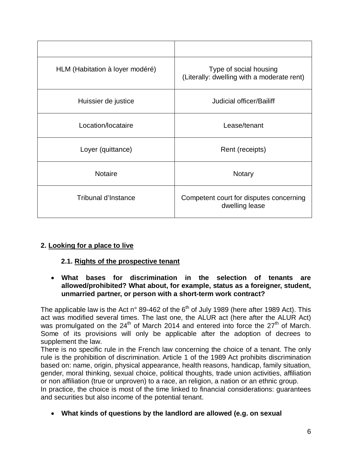| HLM (Habitation à loyer modéré) | Type of social housing<br>(Literally: dwelling with a moderate rent) |
|---------------------------------|----------------------------------------------------------------------|
| Huissier de justice             | Judicial officer/Bailiff                                             |
| Location/locataire              | Lease/tenant                                                         |
| Loyer (quittance)               | Rent (receipts)                                                      |
| <b>Notaire</b>                  | Notary                                                               |
| Tribunal d'Instance             | Competent court for disputes concerning<br>dwelling lease            |

## **2. Looking for a place to live**

## **2.1. Rights of the prospective tenant**

• **What bases for discrimination in the selection of tenants are allowed/prohibited? What about, for example, status as a foreigner, student, unmarried partner, or person with a short-term work contract?**

The applicable law is the Act n° 89-462 of the  $6<sup>th</sup>$  of July 1989 (here after 1989 Act). This act was modified several times. The last one, the ALUR act (here after the ALUR Act) was promulgated on the  $24<sup>th</sup>$  of March 2014 and entered into force the  $27<sup>th</sup>$  of March. Some of its provisions will only be applicable after the adoption of decrees to supplement the law.

There is no specific rule in the French law concerning the choice of a tenant. The only rule is the prohibition of discrimination. Article 1 of the 1989 Act prohibits discrimination based on: name, origin, physical appearance, health reasons, handicap, family situation, gender, moral thinking, sexual choice, political thoughts, trade union activities, affiliation or non affiliation (true or unproven) to a race, an religion, a nation or an ethnic group.

In practice, the choice is most of the time linked to financial considerations: guarantees and securities but also income of the potential tenant.

• **What kinds of questions by the landlord are allowed (e.g. on sexual**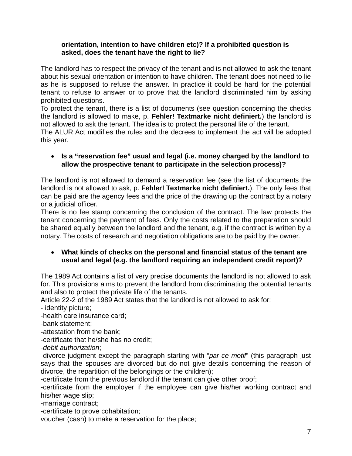## **orientation, intention to have children etc)? If a prohibited question is asked, does the tenant have the right to lie?**

The landlord has to respect the privacy of the tenant and is not allowed to ask the tenant about his sexual orientation or intention to have children. The tenant does not need to lie as he is supposed to refuse the answer. In practice it could be hard for the potential tenant to refuse to answer or to prove that the landlord discriminated him by asking prohibited questions.

To protect the tenant, there is a list of documents (see question concerning the checks the landlord is allowed to make, p. **Fehler! Textmarke nicht definiert.**) the landlord is not allowed to ask the tenant. The idea is to protect the personal life of the tenant.

The ALUR Act modifies the rules and the decrees to implement the act will be adopted this year.

## • **Is a "reservation fee" usual and legal (i.e. money charged by the landlord to allow the prospective tenant to participate in the selection process)?**

The landlord is not allowed to demand a reservation fee (see the list of documents the landlord is not allowed to ask, p. **Fehler! Textmarke nicht definiert.**). The only fees that can be paid are the agency fees and the price of the drawing up the contract by a notary or a judicial officer.

There is no fee stamp concerning the conclusion of the contract. The law protects the tenant concerning the payment of fees. Only the costs related to the preparation should be shared equally between the landlord and the tenant, e.g. if the contract is written by a notary. The costs of research and negotiation obligations are to be paid by the owner.

## • **What kinds of checks on the personal and financial status of the tenant are usual and legal (e.g. the landlord requiring an independent credit report)?**

The 1989 Act contains a list of very precise documents the landlord is not allowed to ask for. This provisions aims to prevent the landlord from discriminating the potential tenants and also to protect the private life of the tenants.

Article 22-2 of the 1989 Act states that the landlord is not allowed to ask for:

- identity picture;

-health care insurance card;

-bank statement;

-attestation from the bank;

-certificate that he/she has no credit;

-*debit authorization*;

-divorce judgment except the paragraph starting with "*par ce motif*" (this paragraph just says that the spouses are divorced but do not give details concerning the reason of divorce, the repartition of the belongings or the children);

-certificate from the previous landlord if the tenant can give other proof;

-certificate from the employer if the employee can give his/her working contract and his/her wage slip;

-marriage contract;

-certificate to prove cohabitation;

voucher (cash) to make a reservation for the place;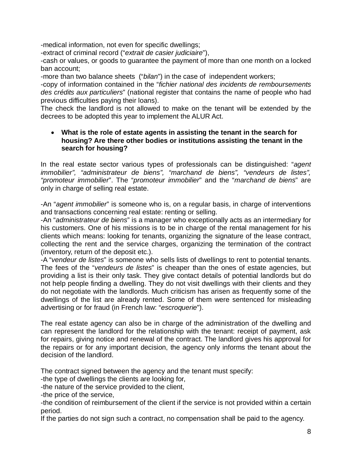-medical information, not even for specific dwellings;

-extract of criminal record ("*extrait de casier judiciaire*"),

-cash or values, or goods to guarantee the payment of more than one month on a locked ban account;

-more than two balance sheets ("*bilan*") in the case of independent workers;

-copy of information contained in the "*fichier national des incidents de remboursements des crédits aux particuliers*" (national register that contains the name of people who had previous difficulties paying their loans).

The check the landlord is not allowed to make on the tenant will be extended by the decrees to be adopted this year to implement the ALUR Act.

## <span id="page-7-0"></span>• **What is the role of estate agents in assisting the tenant in the search for housing? Are there other bodies or institutions assisting the tenant in the search for housing?**

In the real estate sector various types of professionals can be distinguished: "*agent immobilier", "administrateur de biens", "marchand de biens", "vendeurs de listes", "promoteur immobilier*". The "*promoteur immobilier*" and the "*marchand de biens*" are only in charge of selling real estate.

-An "*agent immobilier*" is someone who is, on a regular basis, in charge of interventions and transactions concerning real estate: renting or selling.

-An "*administrateur de biens*" is a manager who exceptionally acts as an intermediary for his customers. One of his missions is to be in charge of the rental management for his clients which means: looking for tenants, organizing the signature of the lease contract, collecting the rent and the service charges, organizing the termination of the contract (inventory, return of the deposit etc.).

-A "*vendeur de listes*" is someone who sells lists of dwellings to rent to potential tenants. The fees of the "*vendeurs de listes*" is cheaper than the ones of estate agencies, but providing a list is their only task. They give contact details of potential landlords but do not help people finding a dwelling. They do not visit dwellings with their clients and they do not negotiate with the landlords. Much criticism has arisen as frequently some of the dwellings of the list are already rented. Some of them were sentenced for misleading advertising or for fraud (in French law: "*escroquerie*").

The real estate agency can also be in charge of the administration of the dwelling and can represent the landlord for the relationship with the tenant: receipt of payment, ask for repairs, giving notice and renewal of the contract. The landlord gives his approval for the repairs or for any important decision, the agency only informs the tenant about the decision of the landlord.

The contract signed between the agency and the tenant must specify:

-the type of dwellings the clients are looking for,

-the nature of the service provided to the client,

-the price of the service,

-the condition of reimbursement of the client if the service is not provided within a certain period.

If the parties do not sign such a contract, no compensation shall be paid to the agency.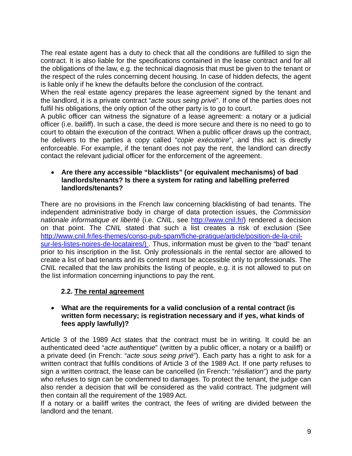The real estate agent has a duty to check that all the conditions are fulfilled to sign the contract. It is also liable for the specifications contained in the lease contract and for all the obligations of the law, e.g. the technical diagnosis that must be given to the tenant or the respect of the rules concerning decent housing. In case of hidden defects, the agent is liable only if he knew the defaults before the conclusion of the contract.

When the real estate agency prepares the lease agreement signed by the tenant and the landlord, it is a private contract "*acte sous seing privé*". If one of the parties does not fulfil his obligations, the only option of the other party is to go to court.

A public officer can witness the signature of a lease agreement: a notary or a judicial officer (i.e. bailiff). In such a case, the deed is more secure and there is no need to go to court to obtain the execution of the contract. When a public officer draws up the contract, he delivers to the parties a copy called "*copie exécutoire*", and this act is directly enforceable. For example, if the tenant does not pay the rent, the landlord can directly contact the relevant judicial officer for the enforcement of the agreement.

## • **Are there any accessible "blacklists" (or equivalent mechanisms) of bad landlords/tenants? Is there a system for rating and labelling preferred landlords/tenants?**

There are no provisions in the French law concerning blacklisting of bad tenants. The independent administrative body in charge of data protection issues, the *Commission nationale informatique et liberté* (i.e. *CNIL*, see [http://www.cnil.fr/\)](http://www.cnil.fr/) rendered a decision on that point. The *CNIL* stated that such a list creates a risk of exclusion (See [http://www.cnil.fr/les-themes/conso-pub-spam/fiche-pratique/article/position-de-la-cnil](http://www.cnil.fr/les-themes/conso-pub-spam/fiche-pratique/article/position-de-la-cnil-sur-les-listes-noires-de-locataires/)[sur-les-listes-noires-de-locataires/\)](http://www.cnil.fr/les-themes/conso-pub-spam/fiche-pratique/article/position-de-la-cnil-sur-les-listes-noires-de-locataires/) . Thus, information must be given to the "bad" tenant prior to his inscription in the list. Only professionals in the rental sector are allowed to create a list of bad tenants and its content must be accessible only to professionals. The *CNIL* recalled that the law prohibits the listing of people, e.g. it is not allowed to put on the list information concerning injunctions to pay the rent.

## **2.2. The rental agreement**

## • **What are the requirements for a valid conclusion of a rental contract (is written form necessary; is registration necessary and if yes, what kinds of fees apply lawfully)?**

Article 3 of the 1989 Act states that the contract must be in writing. It could be an authenticated deed "*acte authentique*" (written by a public officer, a notary or a bailiff) or a private deed (in French: "*acte sous seing privé*"). Each party has a right to ask for a written contract that fulfils conditions of Article 3 of the 1989 Act. If one party refuses to sign a written contract, the lease can be cancelled (in French: "*résiliation*") and the party who refuses to sign can be condemned to damages. To protect the tenant, the judge can also render a decision that will be considered as the valid contract. The judgment will then contain all the requirement of the 1989 Act.

If a notary or a bailiff writes the contract, the fees of writing are divided between the landlord and the tenant.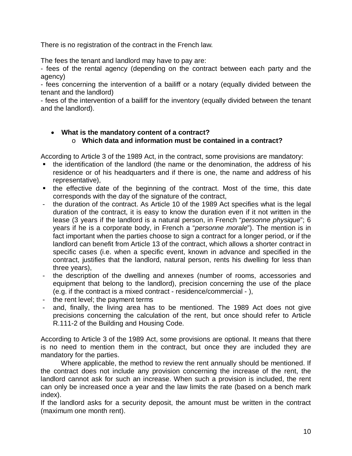There is no registration of the contract in the French law.

The fees the tenant and landlord may have to pay are:

- fees of the rental agency (depending on the contract between each party and the agency)

- fees concerning the intervention of a bailiff or a notary (equally divided between the tenant and the landlord)

- fees of the intervention of a bailiff for the inventory (equally divided between the tenant and the landlord).

## • **What is the mandatory content of a contract?** o **Which data and information must be contained in a contract?**

According to Article 3 of the 1989 Act, in the contract, some provisions are mandatory:

- the identification of the landlord (the name or the denomination, the address of his residence or of his headquarters and if there is one, the name and address of his representative),
- the effective date of the beginning of the contract. Most of the time, this date corresponds with the day of the signature of the contract,
- the duration of the contract. As Article 10 of the 1989 Act specifies what is the legal duration of the contract, it is easy to know the duration even if it not written in the lease (3 years if the landlord is a natural person, in French "*personne physique*"; 6 years if he is a corporate body, in French a "*personne morale*"). The mention is in fact important when the parties choose to sign a contract for a longer period, or if the landlord can benefit from Article 13 of the contract, which allows a shorter contract in specific cases (i.e. when a specific event, known in advance and specified in the contract, justifies that the landlord, natural person, rents his dwelling for less than three years),
- the description of the dwelling and annexes (number of rooms, accessories and equipment that belong to the landlord), precision concerning the use of the place (e.g. if the contract is a mixed contract - residence/commercial - ),
- the rent level; the payment terms
- and, finally, the living area has to be mentioned. The 1989 Act does not give precisions concerning the calculation of the rent, but once should refer to Article R.111-2 of the Building and Housing Code.

According to Article 3 of the 1989 Act, some provisions are optional. It means that there is no need to mention them in the contract, but once they are included they are mandatory for the parties.

Where applicable, the method to review the rent annually should be mentioned. If the contract does not include any provision concerning the increase of the rent, the landlord cannot ask for such an increase. When such a provision is included, the rent can only be increased once a year and the law limits the rate (based on a bench mark index).

If the landlord asks for a security deposit, the amount must be written in the contract (maximum one month rent).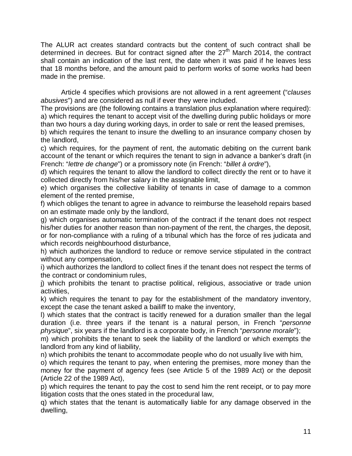The ALUR act creates standard contracts but the content of such contract shall be determined in decrees. But for contract signed after the  $27<sup>th</sup>$  March 2014, the contract shall contain an indication of the last rent, the date when it was paid if he leaves less that 18 months before, and the amount paid to perform works of some works had been made in the premise.

Article 4 specifies which provisions are not allowed in a rent agreement ("*clauses abusives*") and are considered as null if ever they were included.

The provisions are (the following contains a translation plus explanation where required): a) which requires the tenant to accept visit of the dwelling during public holidays or more than two hours a day during working days, in order to sale or rent the leased premises,

b) which requires the tenant to insure the dwelling to an insurance company chosen by the landlord,

c) which requires, for the payment of rent, the automatic debiting on the current bank account of the tenant or which requires the tenant to sign in advance a banker's draft (in French: "*lettre de change*") or a promissory note (in French: "*billet à ordre*"),

d) which requires the tenant to allow the landlord to collect directly the rent or to have it collected directly from his/her salary in the assignable limit,

e) which organises the collective liability of tenants in case of damage to a common element of the rented premise,

f) which obliges the tenant to agree in advance to reimburse the leasehold repairs based on an estimate made only by the landlord,

g) which organises automatic termination of the contract if the tenant does not respect his/her duties for another reason than non-payment of the rent, the charges, the deposit, or for non-compliance with a ruling of a tribunal which has the force of res judicata and which records neighbourhood disturbance,

h) which authorizes the landlord to reduce or remove service stipulated in the contract without any compensation,

i) which authorizes the landlord to collect fines if the tenant does not respect the terms of the contract or condominium rules,

j) which prohibits the tenant to practise political, religious, associative or trade union activities,

k) which requires the tenant to pay for the establishment of the mandatory inventory, except the case the tenant asked a bailiff to make the inventory,

l) which states that the contract is tacitly renewed for a duration smaller than the legal duration (i.e. three years if the tenant is a natural person, in French "*personne physique*", six years if the landlord is a corporate body, in French "*personne morale*");

m) which prohibits the tenant to seek the liability of the landlord or which exempts the landlord from any kind of liability,

n) which prohibits the tenant to accommodate people who do not usually live with him,

o) which requires the tenant to pay, when entering the premises, more money than the money for the payment of agency fees (see Article 5 of the 1989 Act) or the deposit (Article 22 of the 1989 Act),

p) which requires the tenant to pay the cost to send him the rent receipt, or to pay more litigation costs that the ones stated in the procedural law,

q) which states that the tenant is automatically liable for any damage observed in the dwelling,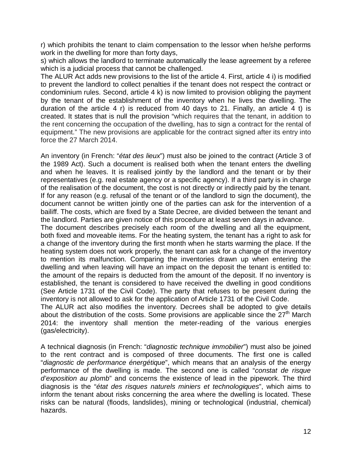r) which prohibits the tenant to claim compensation to the lessor when he/she performs work in the dwelling for more than forty days,

s) which allows the landlord to terminate automatically the lease agreement by a referee which is a judicial process that cannot be challenged.

The ALUR Act adds new provisions to the list of the article 4. First, article 4 i) is modified to prevent the landlord to collect penalties if the tenant does not respect the contract or condominium rules. Second, article 4 k) is now limited to provision obliging the payment by the tenant of the establishment of the inventory when he lives the dwelling. The duration of the article 4 r) is reduced from 40 days to 21. Finally, an article 4 t) is created. It states that is null the provision "which requires that the tenant, in addition to the rent concerning the occupation of the dwelling, has to sign a contract for the rental of equipment." The new provisions are applicable for the contract signed after its entry into force the 27 March 2014.

An inventory (in French: "*état des lieux*") must also be joined to the contract (Article 3 of the 1989 Act). Such a document is realised both when the tenant enters the dwelling and when he leaves. It is realised jointly by the landlord and the tenant or by their representatives (e.g. real estate agency or a specific agency). If a third party is in charge of the realisation of the document, the cost is not directly or indirectly paid by the tenant. If for any reason (e.g. refusal of the tenant or of the landlord to sign the document), the document cannot be written jointly one of the parties can ask for the intervention of a bailiff. The costs, which are fixed by a State Decree, are divided between the tenant and the landlord. Parties are given notice of this procedure at least seven days in advance.

The document describes precisely each room of the dwelling and all the equipment, both fixed and moveable items. For the heating system, the tenant has a right to ask for a change of the inventory during the first month when he starts warming the place. If the heating system does not work properly, the tenant can ask for a change of the inventory to mention its malfunction. Comparing the inventories drawn up when entering the dwelling and when leaving will have an impact on the deposit the tenant is entitled to: the amount of the repairs is deducted from the amount of the deposit. If no inventory is established, the tenant is considered to have received the dwelling in good conditions (See Article 1731 of the Civil Code). The party that refuses to be present during the inventory is not allowed to ask for the application of Article 1731 of the Civil Code.

The ALUR act also modifies the inventory. Decrees shall be adopted to give details about the distribution of the costs. Some provisions are applicable since the  $27<sup>th</sup>$  March 2014: the inventory shall mention the meter-reading of the various energies (gas/electricity).

A technical diagnosis (in French: "*diagnostic technique immobilier*") must also be joined to the rent contract and is composed of three documents. The first one is called "*diagnostic de performance énergétique*", which means that an analysis of the energy performance of the dwelling is made. The second one is called "*constat de risque d'exposition au plomb*" and concerns the existence of lead in the pipework. The third diagnosis is the "*état des risques naturels miniers et technologiques*", which aims to inform the tenant about risks concerning the area where the dwelling is located. These risks can be natural (floods, landslides), mining or technological (industrial, chemical) hazards.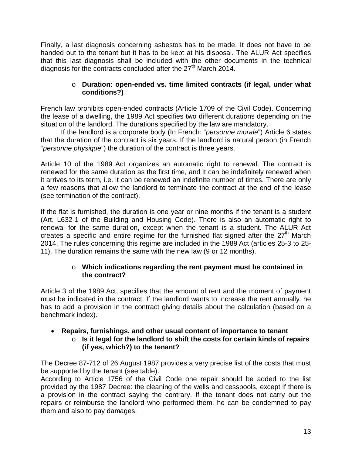Finally, a last diagnosis concerning asbestos has to be made. It does not have to be handed out to the tenant but it has to be kept at his disposal. The ALUR Act specifies that this last diagnosis shall be included with the other documents in the technical diagnosis for the contracts concluded after the  $27<sup>th</sup>$  March 2014.

## o **Duration: open-ended vs. time limited contracts (if legal, under what conditions?)**

French law prohibits open-ended contracts (Article 1709 of the Civil Code). Concerning the lease of a dwelling, the 1989 Act specifies two different durations depending on the situation of the landlord. The durations specified by the law are mandatory.

If the landlord is a corporate body (In French: "*personne morale*") Article 6 states that the duration of the contract is six years. If the landlord is natural person (in French "*personne physique*") the duration of the contract is three years.

Article 10 of the 1989 Act organizes an automatic right to renewal. The contract is renewed for the same duration as the first time, and it can be indefinitely renewed when it arrives to its term, i.e. it can be renewed an indefinite number of times. There are only a few reasons that allow the landlord to terminate the contract at the end of the lease (see termination of the contract).

If the flat is furnished, the duration is one year or nine months if the tenant is a student (Art. L632-1 of the Building and Housing Code). There is also an automatic right to renewal for the same duration, except when the tenant is a student. The ALUR Act creates a specific and entire regime for the furnished flat signed after the  $27<sup>th</sup>$  March 2014. The rules concerning this regime are included in the 1989 Act (articles 25-3 to 25- 11). The duration remains the same with the new law (9 or 12 months).

## o **Which indications regarding the rent payment must be contained in the contract?**

Article 3 of the 1989 Act, specifies that the amount of rent and the moment of payment must be indicated in the contract. If the landlord wants to increase the rent annually, he has to add a provision in the contract giving details about the calculation (based on a benchmark index).

#### • **Repairs, furnishings, and other usual content of importance to tenant** o **Is it legal for the landlord to shift the costs for certain kinds of repairs**

## **(if yes, which?) to the tenant?**

The Decree 87-712 of 26 August 1987 provides a very precise list of the costs that must be supported by the tenant (see table).

According to Article 1756 of the Civil Code one repair should be added to the list provided by the 1987 Decree: the cleaning of the wells and cesspools, except if there is a provision in the contract saying the contrary. If the tenant does not carry out the repairs or reimburse the landlord who performed them, he can be condemned to pay them and also to pay damages.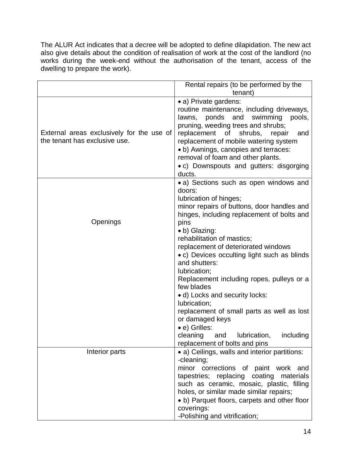The ALUR Act indicates that a decree will be adopted to define dilapidation. The new act also give details about the condition of realisation of work at the cost of the landlord (no works during the week-end without the authorisation of the tenant, access of the dwelling to prepare the work).

|                                                                            | Rental repairs (to be performed by the<br>tenant)                                                                                                                                                                                                                                                                                                                                                                                                                                                                                                                                                |
|----------------------------------------------------------------------------|--------------------------------------------------------------------------------------------------------------------------------------------------------------------------------------------------------------------------------------------------------------------------------------------------------------------------------------------------------------------------------------------------------------------------------------------------------------------------------------------------------------------------------------------------------------------------------------------------|
| External areas exclusively for the use of<br>the tenant has exclusive use. | • a) Private gardens:<br>routine maintenance, including driveways,<br>ponds and swimming<br>lawns,<br>pools,<br>pruning, weeding trees and shrubs;<br>replacement of shrubs,<br>repair<br>and<br>replacement of mobile watering system<br>• b) Awnings, canopies and terraces:<br>removal of foam and other plants.<br>• c) Downspouts and gutters: disgorging<br>ducts.                                                                                                                                                                                                                         |
| Openings                                                                   | • a) Sections such as open windows and<br>doors:<br>lubrication of hinges;<br>minor repairs of buttons, door handles and<br>hinges, including replacement of bolts and<br>pins<br>• b) Glazing:<br>rehabilitation of mastics;<br>replacement of deteriorated windows<br>• c) Devices occulting light such as blinds<br>and shutters:<br>lubrication;<br>Replacement including ropes, pulleys or a<br>few blades<br>• d) Locks and security locks:<br>lubrication;<br>replacement of small parts as well as lost<br>or damaged keys<br>• e) Grilles:<br>cleaning and<br>lubrication,<br>including |
| Interior parts                                                             | replacement of bolts and pins<br>• a) Ceilings, walls and interior partitions:<br>-cleaning;<br>minor corrections of paint work and<br>tapestries; replacing coating materials<br>such as ceramic, mosaic, plastic, filling<br>holes, or similar made similar repairs;<br>• b) Parquet floors, carpets and other floor<br>coverings:<br>-Polishing and vitrification;                                                                                                                                                                                                                            |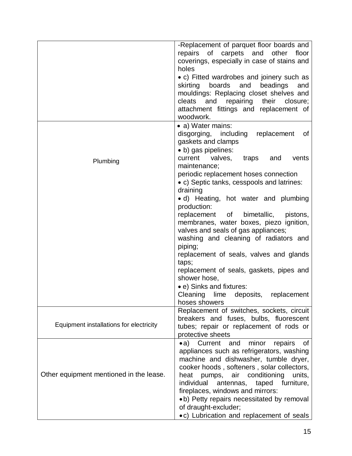|                                         | -Replacement of parquet floor boards and<br>repairs of carpets<br>and<br>other<br>floor<br>coverings, especially in case of stains and<br>holes                                                                                                                                                                                                                                                                                                                                                                                                                                             |
|-----------------------------------------|---------------------------------------------------------------------------------------------------------------------------------------------------------------------------------------------------------------------------------------------------------------------------------------------------------------------------------------------------------------------------------------------------------------------------------------------------------------------------------------------------------------------------------------------------------------------------------------------|
|                                         | • c) Fitted wardrobes and joinery such as<br>and<br>skirting<br>boards<br>beadings<br>and<br>mouldings: Replacing closet shelves and<br>and repairing their<br>cleats<br>closure;<br>attachment fittings and replacement of<br>woodwork.                                                                                                                                                                                                                                                                                                                                                    |
|                                         | • a) Water mains:<br>disgorging, including<br>replacement<br>0f<br>gaskets and clamps<br>• b) gas pipelines:                                                                                                                                                                                                                                                                                                                                                                                                                                                                                |
| Plumbing                                | current<br>valves, traps<br>and<br>vents<br>maintenance;<br>periodic replacement hoses connection<br>• c) Septic tanks, cesspools and latrines:<br>draining<br>· d) Heating, hot water and plumbing<br>production:<br>replacement of bimetallic, pistons,<br>membranes, water boxes, piezo ignition,<br>valves and seals of gas appliances;<br>washing and cleaning of radiators and<br>piping;<br>replacement of seals, valves and glands<br>taps;<br>replacement of seals, gaskets, pipes and<br>shower hose,<br>• e) Sinks and fixtures:<br>Cleaning<br>lime<br>deposits,<br>replacement |
| Equipment installations for electricity | hoses showers<br>Replacement of switches, sockets, circuit<br>breakers and fuses, bulbs, fluorescent<br>tubes; repair or replacement of rods or<br>protective sheets                                                                                                                                                                                                                                                                                                                                                                                                                        |
| Other equipment mentioned in the lease. | Current<br>and<br>minor<br>$\bullet$ a)<br>repairs<br>0f<br>appliances such as refrigerators, washing<br>machine and dishwasher, tumble dryer,<br>cooker hoods, softeners, solar collectors,<br>conditioning<br>units,<br>pumps,<br>air<br>heat<br>individual<br>furniture,<br>antennas,<br>taped<br>fireplaces, windows and mirrors:<br>•b) Petty repairs necessitated by removal<br>of draught-excluder;<br>•c) Lubrication and replacement of seals                                                                                                                                      |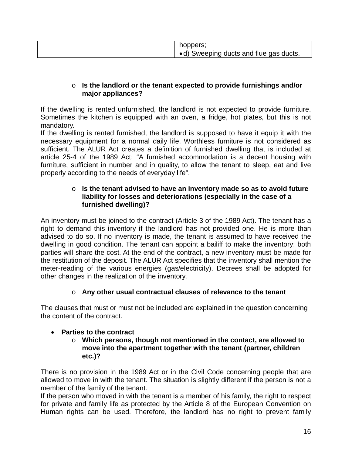| • d) Sweeping ducts and flue gas ducts. |
|-----------------------------------------|
|-----------------------------------------|

## o **Is the landlord or the tenant expected to provide furnishings and/or major appliances?**

If the dwelling is rented unfurnished, the landlord is not expected to provide furniture. Sometimes the kitchen is equipped with an oven, a fridge, hot plates, but this is not mandatory.

If the dwelling is rented furnished, the landlord is supposed to have it equip it with the necessary equipment for a normal daily life. Worthless furniture is not considered as sufficient. The ALUR Act creates a definition of furnished dwelling that is included at article 25-4 of the 1989 Act: "A furnished accommodation is a decent housing with furniture, sufficient in number and in quality, to allow the tenant to sleep, eat and live properly according to the needs of everyday life".

### o **Is the tenant advised to have an inventory made so as to avoid future liability for losses and deteriorations (especially in the case of a furnished dwelling)?**

An inventory must be joined to the contract (Article 3 of the 1989 Act). The tenant has a right to demand this inventory if the landlord has not provided one. He is more than advised to do so. If no inventory is made, the tenant is assumed to have received the dwelling in good condition. The tenant can appoint a bailiff to make the inventory; both parties will share the cost. At the end of the contract, a new inventory must be made for the restitution of the deposit. The ALUR Act specifies that the inventory shall mention the meter-reading of the various energies (gas/electricity). Decrees shall be adopted for other changes in the realization of the inventory.

## o **Any other usual contractual clauses of relevance to the tenant**

The clauses that must or must not be included are explained in the question concerning the content of the contract.

## • **Parties to the contract**

## o **Which persons, though not mentioned in the contact, are allowed to move into the apartment together with the tenant (partner, children etc.)?**

There is no provision in the 1989 Act or in the Civil Code concerning people that are allowed to move in with the tenant. The situation is slightly different if the person is not a member of the family of the tenant.

If the person who moved in with the tenant is a member of his family, the right to respect for private and family life as protected by the Article 8 of the European Convention on Human rights can be used. Therefore, the landlord has no right to prevent family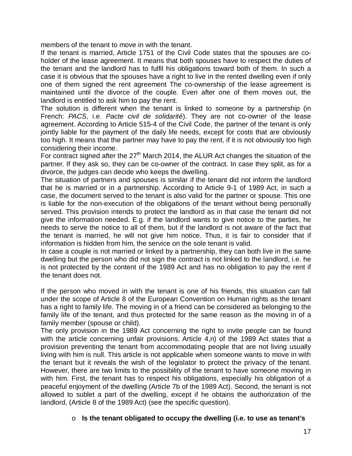members of the tenant to move in with the tenant.

If the tenant is married, Article 1751 of the Civil Code states that the spouses are coholder of the lease agreement. It means that both spouses have to respect the duties of the tenant and the landlord has to fulfil his obligations toward both of them. In such a case it is obvious that the spouses have a right to live in the rented dwelling even if only one of them signed the rent agreement The co-ownership of the lease agreement is maintained until the divorce of the couple. Even after one of them moves out, the landlord is entitled to ask him to pay the rent.

The solution is different when the tenant is linked to someone by a partnership (in French: *PACS*, i.e. *Pacte civil de solidarité*). They are not co-owner of the lease agreement. According to Article 515-4 of the Civil Code, the partner of the tenant is only jointly liable for the payment of the daily life needs, except for costs that are obviously too high. It means that the partner may have to pay the rent, if it is not obviously too high considering their income.

For contract signed after the  $27<sup>th</sup>$  March 2014, the ALUR Act changes the situation of the partner. If they ask so, they can be co-owner of the contract. In case they split, as for a divorce, the judges can decide who keeps the dwelling.

The situation of partners and spouses is similar if the tenant did not inform the landlord that he is married or in a partnership. According to Article 9-1 of 1989 Act, in such a case, the document served to the tenant is also valid for the partner or spouse. This one is liable for the non-execution of the obligations of the tenant without being personally served. This provision intends to protect the landlord as in that case the tenant did not give the information needed. E.g. if the landlord wants to give notice to the parties, he needs to serve the notice to all of them, but if the landlord is not aware of the fact that the tenant is married, he will not give him notice. Thus, it is fair to consider that if information is hidden from him, the service on the sole tenant is valid.

In case a couple is not married or linked by a partnership, they can both live in the same dwelling but the person who did not sign the contract is not linked to the landlord, i.e. he is not protected by the content of the 1989 Act and has no obligation to pay the rent if the tenant does not.

If the person who moved in with the tenant is one of his friends, this situation can fall under the scope of Article 8 of the European Convention on Human rights as the tenant has a right to family life. The moving in of a friend can be considered as belonging to the family life of the tenant, and thus protected for the same reason as the moving in of a family member (spouse or child).

The only provision in the 1989 Act concerning the right to invite people can be found with the article concerning unfair provisions. Article 4,n) of the 1989 Act states that a provision preventing the tenant from accommodating people that are not living usually living with him is null. This article is not applicable when someone wants to move in with the tenant but it reveals the wish of the legislator to protect the privacy of the tenant. However, there are two limits to the possibility of the tenant to have someone moving in with him. First, the tenant has to respect his obligations, especially his obligation of a peaceful enjoyment of the dwelling (Article 7b of the 1989 Act). Second, the tenant is not allowed to sublet a part of the dwelling, except if he obtains the authorization of the landlord, (Article 8 of the 1989 Act) (see the specific question).

## o **Is the tenant obligated to occupy the dwelling (i.e. to use as tenant's**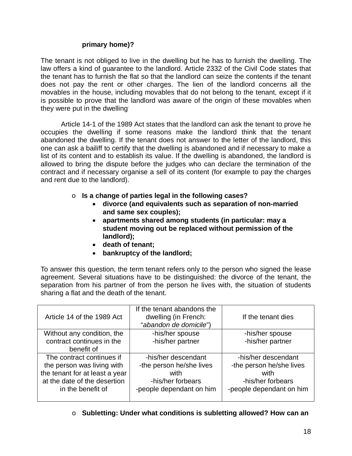## **primary home)?**

The tenant is not obliged to live in the dwelling but he has to furnish the dwelling. The law offers a kind of guarantee to the landlord. Article 2332 of the Civil Code states that the tenant has to furnish the flat so that the landlord can seize the contents if the tenant does not pay the rent or other charges. The lien of the landlord concerns all the movables in the house, including movables that do not belong to the tenant, except if it is possible to prove that the landlord was aware of the origin of these movables when they were put in the dwelling.

Article 14-1 of the 1989 Act states that the landlord can ask the tenant to prove he occupies the dwelling if some reasons make the landlord think that the tenant abandoned the dwelling. If the tenant does not answer to the letter of the landlord, this one can ask a bailiff to certify that the dwelling is abandoned and if necessary to make a list of its content and to establish its value. If the dwelling is abandoned, the landlord is allowed to bring the dispute before the judges who can declare the termination of the contract and if necessary organise a sell of its content (for example to pay the charges and rent due to the landlord).

- o **Is a change of parties legal in the following cases?**
	- **divorce (and equivalents such as separation of non-married and same sex couples);**
	- **apartments shared among students (in particular: may a student moving out be replaced without permission of the landlord);**
	- **death of tenant;**
	- **bankruptcy of the landlord;**

To answer this question, the term tenant refers only to the person who signed the lease agreement. Several situations have to be distinguished: the divorce of the tenant, the separation from his partner of from the person he lives with, the situation of students sharing a flat and the death of the tenant.

| Article 14 of the 1989 Act                              | If the tenant abandons the<br>dwelling (in French:<br>"abandon de domicile") | If the tenant dies                              |
|---------------------------------------------------------|------------------------------------------------------------------------------|-------------------------------------------------|
| Without any condition, the<br>contract continues in the | -his/her spouse<br>-his/her partner                                          | -his/her spouse<br>-his/her partner             |
| benefit of                                              |                                                                              |                                                 |
| The contract continues if<br>the person was living with | -his/her descendant<br>-the person he/she lives                              | -his/her descendant<br>-the person he/she lives |
| the tenant for at least a year                          | with                                                                         | with                                            |
| at the date of the desertion                            | -his/her forbears                                                            | -his/her forbears                               |
| in the benefit of                                       | -people dependant on him                                                     | -people dependant on him                        |
|                                                         |                                                                              |                                                 |

o **Subletting: Under what conditions is subletting allowed? How can an**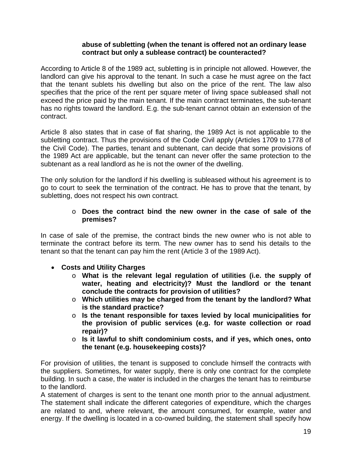#### **abuse of subletting (when the tenant is offered not an ordinary lease contract but only a sublease contract) be counteracted?**

According to Article 8 of the 1989 act, subletting is in principle not allowed. However, the landlord can give his approval to the tenant. In such a case he must agree on the fact that the tenant sublets his dwelling but also on the price of the rent. The law also specifies that the price of the rent per square meter of living space subleased shall not exceed the price paid by the main tenant. If the main contract terminates, the sub-tenant has no rights toward the landlord. E.g. the sub-tenant cannot obtain an extension of the contract.

Article 8 also states that in case of flat sharing, the 1989 Act is not applicable to the subletting contract. Thus the provisions of the Code Civil apply (Articles 1709 to 1778 of the Civil Code). The parties, tenant and subtenant, can decide that some provisions of the 1989 Act are applicable, but the tenant can never offer the same protection to the subtenant as a real landlord as he is not the owner of the dwelling.

The only solution for the landlord if his dwelling is subleased without his agreement is to go to court to seek the termination of the contract. He has to prove that the tenant, by subletting, does not respect his own contract.

## o **Does the contract bind the new owner in the case of sale of the premises?**

In case of sale of the premise, the contract binds the new owner who is not able to terminate the contract before its term. The new owner has to send his details to the tenant so that the tenant can pay him the rent (Article 3 of the 1989 Act).

- **Costs and Utility Charges**
	- o **What is the relevant legal regulation of utilities (i.e. the supply of water, heating and electricity)? Must the landlord or the tenant conclude the contracts for provision of utilities?**
	- o **Which utilities may be charged from the tenant by the landlord? What is the standard practice?**
	- o **Is the tenant responsible for taxes levied by local municipalities for the provision of public services (e.g. for waste collection or road repair)?**
	- o **Is it lawful to shift condominium costs, and if yes, which ones, onto the tenant (e.g. housekeeping costs)?**

For provision of utilities, the tenant is supposed to conclude himself the contracts with the suppliers. Sometimes, for water supply, there is only one contract for the complete building. In such a case, the water is included in the charges the tenant has to reimburse to the landlord.

A statement of charges is sent to the tenant one month prior to the annual adjustment. The statement shall indicate the different categories of expenditure, which the charges are related to and, where relevant, the amount consumed, for example, water and energy. If the dwelling is located in a co-owned building, the statement shall specify how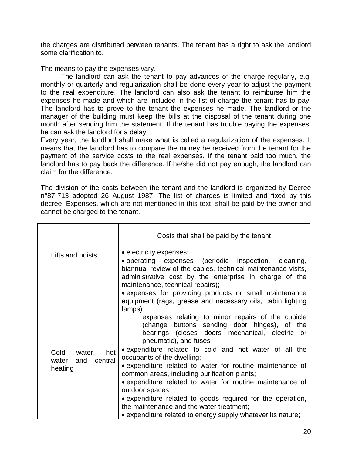the charges are distributed between tenants. The tenant has a right to ask the landlord some clarification to.

The means to pay the expenses vary.

The landlord can ask the tenant to pay advances of the charge regularly, e.g. monthly or quarterly and regularization shall be done every year to adjust the payment to the real expenditure. The landlord can also ask the tenant to reimburse him the expenses he made and which are included in the list of charge the tenant has to pay. The landlord has to prove to the tenant the expenses he made. The landlord or the manager of the building must keep the bills at the disposal of the tenant during one month after sending him the statement. If the tenant has trouble paying the expenses, he can ask the landlord for a delay.

Every year, the landlord shall make what is called a regularization of the expenses. It means that the landlord has to compare the money he received from the tenant for the payment of the service costs to the real expenses. If the tenant paid too much, the landlord has to pay back the difference. If he/she did not pay enough, the landlord can claim for the difference.

The division of the costs between the tenant and the landlord is organized by Decree n°87-713 adopted 26 August 1987. The list of charges is limited and fixed by this decree. Expenses, which are not mentioned in this text, shall be paid by the owner and cannot be charged to the tenant.

|                                                             | Costs that shall be paid by the tenant                                                                                                                                                                                                                                                                                                                                                                                                                                                                                                                          |
|-------------------------------------------------------------|-----------------------------------------------------------------------------------------------------------------------------------------------------------------------------------------------------------------------------------------------------------------------------------------------------------------------------------------------------------------------------------------------------------------------------------------------------------------------------------------------------------------------------------------------------------------|
| Lifts and hoists                                            | • electricity expenses;<br>• operating expenses (periodic inspection, cleaning,<br>biannual review of the cables, technical maintenance visits,<br>administrative cost by the enterprise in charge of the<br>maintenance, technical repairs);<br>· expenses for providing products or small maintenance<br>equipment (rags, grease and necessary oils, cabin lighting<br>lamps)<br>expenses relating to minor repairs of the cubicle<br>(change buttons sending door hinges), of the<br>bearings (closes doors mechanical, electric or<br>pneumatic), and fuses |
| hot<br>Cold<br>water,<br>central<br>water<br>and<br>heating | • expenditure related to cold and hot water of all the<br>occupants of the dwelling;<br>• expenditure related to water for routine maintenance of<br>common areas, including purification plants;<br>• expenditure related to water for routine maintenance of<br>outdoor spaces;<br>• expenditure related to goods required for the operation,<br>the maintenance and the water treatment;<br>• expenditure related to energy supply whatever its nature;                                                                                                      |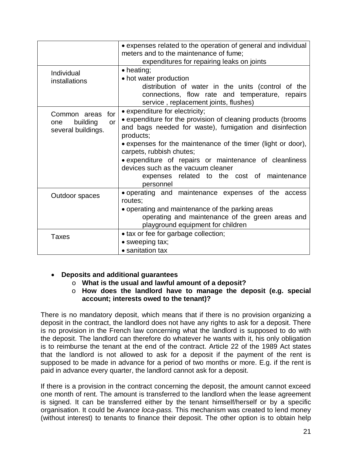|                                                                    | • expenses related to the operation of general and individual<br>meters and to the maintenance of fume;<br>expenditures for repairing leaks on joints                                                                                                                                                                                                                                                                          |
|--------------------------------------------------------------------|--------------------------------------------------------------------------------------------------------------------------------------------------------------------------------------------------------------------------------------------------------------------------------------------------------------------------------------------------------------------------------------------------------------------------------|
| Individual<br>installations                                        | $\bullet$ heating;<br>• hot water production<br>distribution of water in the units (control of the<br>connections, flow rate and temperature, repairs<br>service, replacement joints, flushes)                                                                                                                                                                                                                                 |
| for<br>Common areas<br>building<br>or<br>one<br>several buildings. | • expenditure for electricity;<br>• expenditure for the provision of cleaning products (brooms<br>and bags needed for waste), fumigation and disinfection<br>products;<br>• expenses for the maintenance of the timer (light or door),<br>carpets, rubbish chutes;<br>• expenditure of repairs or maintenance of cleanliness<br>devices such as the vacuum cleaner<br>expenses related to the cost of maintenance<br>personnel |
| Outdoor spaces                                                     | operating and maintenance expenses of the access<br>routes:<br>• operating and maintenance of the parking areas<br>operating and maintenance of the green areas and                                                                                                                                                                                                                                                            |
| <b>Taxes</b>                                                       | playground equipment for children<br>• tax or fee for garbage collection;<br>• sweeping tax;<br>• sanitation tax                                                                                                                                                                                                                                                                                                               |

## • **Deposits and additional guarantees**

- o **What is the usual and lawful amount of a deposit?**
- o **How does the landlord have to manage the deposit (e.g. special account; interests owed to the tenant)?**

There is no mandatory deposit, which means that if there is no provision organizing a deposit in the contract, the landlord does not have any rights to ask for a deposit. There is no provision in the French law concerning what the landlord is supposed to do with the deposit. The landlord can therefore do whatever he wants with it, his only obligation is to reimburse the tenant at the end of the contract. Article 22 of the 1989 Act states that the landlord is not allowed to ask for a deposit if the payment of the rent is supposed to be made in advance for a period of two months or more. E.g. if the rent is paid in advance every quarter, the landlord cannot ask for a deposit.

If there is a provision in the contract concerning the deposit, the amount cannot exceed one month of rent. The amount is transferred to the landlord when the lease agreement is signed. It can be transferred either by the tenant himself/herself or by a specific organisation. It could be *Avance loca-pass.* This mechanism was created to lend money (without interest) to tenants to finance their deposit. The other option is to obtain help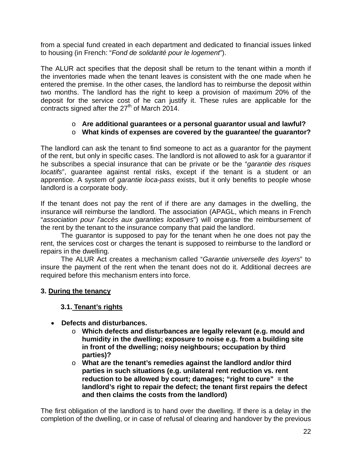from a special fund created in each department and dedicated to financial issues linked to housing (in French: "*Fond de solidarité pour le logement*").

The ALUR act specifies that the deposit shall be return to the tenant within a month if the inventories made when the tenant leaves is consistent with the one made when he entered the premise. In the other cases, the landlord has to reimburse the deposit within two months. The landlord has the right to keep a provision of maximum 20% of the deposit for the service cost of he can justify it. These rules are applicable for the contracts signed after the  $27<sup>th</sup>$  of March 2014.

## o **Are additional guarantees or a personal guarantor usual and lawful?**

## o **What kinds of expenses are covered by the guarantee/ the guarantor?**

The landlord can ask the tenant to find someone to act as a guarantor for the payment of the rent, but only in specific cases. The landlord is not allowed to ask for a guarantor if he subscribes a special insurance that can be private or be the "*garantie des risques locatifs*", guarantee against rental risks, except if the tenant is a student or an apprentice. A system of *garantie loca-pass* exists, but it only benefits to people whose landlord is a corporate body.

If the tenant does not pay the rent of if there are any damages in the dwelling, the insurance will reimburse the landlord. The association (APAGL, which means in French "*association pour l'accès aux garanties locatives*") will organise the reimbursement of the rent by the tenant to the insurance company that paid the landlord.

The guarantor is supposed to pay for the tenant when he one does not pay the rent, the services cost or charges the tenant is supposed to reimburse to the landlord or repairs in the dwelling.

The ALUR Act creates a mechanism called "*Garantie universelle des loyers*" to insure the payment of the rent when the tenant does not do it. Additional decrees are required before this mechanism enters into force.

## **3. During the tenancy**

## **3.1. Tenant's rights**

- **Defects and disturbances.**
	- o **Which defects and disturbances are legally relevant (e.g. mould and humidity in the dwelling; exposure to noise e.g. from a building site in front of the dwelling; noisy neighbours; occupation by third parties)?**
	- o **What are the tenant's remedies against the landlord and/or third parties in such situations (e.g. unilateral rent reduction vs. rent reduction to be allowed by court; damages; "right to cure" = the landlord's right to repair the defect; the tenant first repairs the defect and then claims the costs from the landlord)**

The first obligation of the landlord is to hand over the dwelling. If there is a delay in the completion of the dwelling, or in case of refusal of clearing and handover by the previous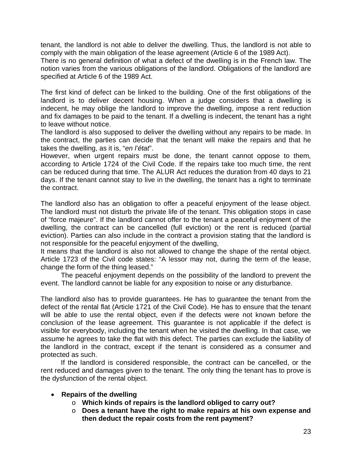tenant, the landlord is not able to deliver the dwelling. Thus, the landlord is not able to comply with the main obligation of the lease agreement (Article 6 of the 1989 Act).

There is no general definition of what a defect of the dwelling is in the French law. The notion varies from the various obligations of the landlord. Obligations of the landlord are specified at Article 6 of the 1989 Act.

The first kind of defect can be linked to the building. One of the first obligations of the landlord is to deliver decent housing. When a judge considers that a dwelling is indecent, he may oblige the landlord to improve the dwelling, impose a rent reduction and fix damages to be paid to the tenant. If a dwelling is indecent, the tenant has a right to leave without notice.

The landlord is also supposed to deliver the dwelling without any repairs to be made. In the contract, the parties can decide that the tenant will make the repairs and that he takes the dwelling, as it is, "*en l'état*".

However, when urgent repairs must be done, the tenant cannot oppose to them, according to Article 1724 of the Civil Code. If the repairs take too much time, the rent can be reduced during that time. The ALUR Act reduces the duration from 40 days to 21 days. If the tenant cannot stay to live in the dwelling, the tenant has a right to terminate the contract.

The landlord also has an obligation to offer a peaceful enjoyment of the lease object. The landlord must not disturb the private life of the tenant. This obligation stops in case of "force majeure". If the landlord cannot offer to the tenant a peaceful enjoyment of the dwelling, the contract can be cancelled (full eviction) or the rent is reduced (partial eviction). Parties can also include in the contract a provision stating that the landlord is not responsible for the peaceful enjoyment of the dwelling,

It means that the landlord is also not allowed to change the shape of the rental object. Article 1723 of the Civil code states: "A lessor may not, during the term of the lease, change the form of the thing leased."

The peaceful enjoyment depends on the possibility of the landlord to prevent the event. The landlord cannot be liable for any exposition to noise or any disturbance.

The landlord also has to provide guarantees. He has to guarantee the tenant from the defect of the rental flat (Article 1721 of the Civil Code). He has to ensure that the tenant will be able to use the rental object, even if the defects were not known before the conclusion of the lease agreement. This guarantee is not applicable if the defect is visible for everybody, including the tenant when he visited the dwelling. In that case, we assume he agrees to take the flat with this defect. The parties can exclude the liability of the landlord in the contract, except if the tenant is considered as a consumer and protected as such.

If the landlord is considered responsible, the contract can be cancelled, or the rent reduced and damages given to the tenant. The only thing the tenant has to prove is the dysfunction of the rental object.

## • **Repairs of the dwelling**

- o **Which kinds of repairs is the landlord obliged to carry out?**
- o **Does a tenant have the right to make repairs at his own expense and then deduct the repair costs from the rent payment?**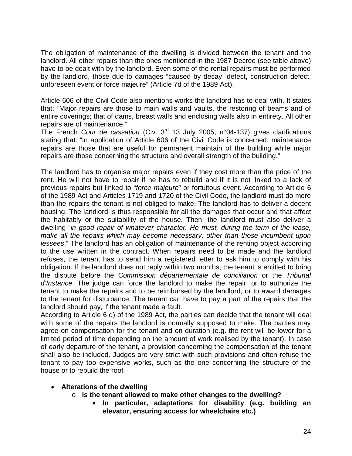The obligation of maintenance of the dwelling is divided between the tenant and the landlord. All other repairs than the ones mentioned in the 1987 Decree (see table above) have to be dealt with by the landlord. Even some of the rental repairs must be performed by the landlord, those due to damages "caused by decay, defect, construction defect, unforeseen event or force majeure" (Article 7d of the 1989 Act).

Article 606 of the Civil Code also mentions works the landlord has to deal with. It states that: *"*Major repairs are those to main walls and vaults, the restoring of beams and of entire coverings; that of dams, breast walls and enclosing walls also in entirety. All other repairs are of maintenance."

The French *Cour de cassation* (Civ. 3rd 13 July 2005, n°04-137) gives clarifications stating that: "in application of Article 606 of the Civil Code is concerned, maintenance repairs are those that are useful for permanent maintain of the building while major repairs are those concerning the structure and overall strength of the building."

The landlord has to organise major repairs even if they cost more than the price of the rent. He will not have to repair if he has to rebuild and if it is not linked to a lack of previous repairs but linked to "*force majeure*" or fortuitous event. According to Article 6 of the 1989 Act and Articles 1719 and 1720 of the Civil Code, the landlord must do more than the repairs the tenant is not obliged to make. The landlord has to deliver a decent housing. The landlord is thus responsible for all the damages that occur and that affect the habitably or the suitability of the house. Then, the landlord must also deliver a dwelling "*in good repair of whatever character. He must, during the term of the lease, make all the repairs which may become necessary, other than those incumbent upon lessees*." The landlord has an obligation of maintenance of the renting object according to the use written in the contract. When repairs need to be made and the landlord refuses, the tenant has to send him a registered letter to ask him to comply with his obligation. If the landlord does not reply within two months, the tenant is entitled to bring the dispute before the *Commission départementale de conciliation* or the *Tribunal d'Instance*. The judge can force the landlord to make the repair, or to authorize the tenant to make the repairs and to be reimbursed by the landlord, or to award damages to the tenant for disturbance. The tenant can have to pay a part of the repairs that the landlord should pay, if the tenant made a fault.

According to Article 6 d) of the 1989 Act, the parties can decide that the tenant will deal with some of the repairs the landlord is normally supposed to make. The parties may agree on compensation for the tenant and on duration (e.g. the rent will be lower for a limited period of time depending on the amount of work realised by the tenant). In case of early departure of the tenant, a provision concerning the compensation of the tenant shall also be included. Judges are very strict with such provisions and often refuse the tenant to pay too expensive works, such as the one concerning the structure of the house or to rebuild the roof.

## • **Alterations of the dwelling**

- o **Is the tenant allowed to make other changes to the dwelling?**
	- **In particular, adaptations for disability (e.g. building an elevator, ensuring access for wheelchairs etc.)**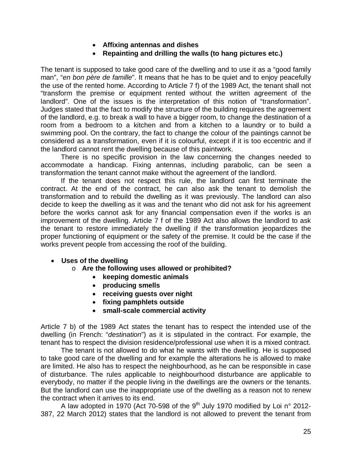- **Affixing antennas and dishes**
- **Repainting and drilling the walls (to hang pictures etc.)**

The tenant is supposed to take good care of the dwelling and to use it as a "good family man", "*en bon père de famille*". It means that he has to be quiet and to enjoy peacefully the use of the rented home. According to Article 7 f) of the 1989 Act, the tenant shall not "transform the premise or equipment rented without the written agreement of the landlord". One of the issues is the interpretation of this notion of "transformation". Judges stated that the fact to modify the structure of the building requires the agreement of the landlord, e.g. to break a wall to have a bigger room, to change the destination of a room from a bedroom to a kitchen and from a kitchen to a laundry or to build a swimming pool. On the contrary, the fact to change the colour of the paintings cannot be considered as a transformation, even if it is colourful, except if it is too eccentric and if the landlord cannot rent the dwelling because of this paintwork.

There is no specific provision in the law concerning the changes needed to accommodate a handicap. Fixing antennas, including parabolic, can be seen a transformation the tenant cannot make without the agreement of the landlord.

If the tenant does not respect this rule, the landlord can first terminate the contract. At the end of the contract, he can also ask the tenant to demolish the transformation and to rebuild the dwelling as it was previously. The landlord can also decide to keep the dwelling as it was and the tenant who did not ask for his agreement before the works cannot ask for any financial compensation even if the works is an improvement of the dwelling. Article 7 f of the 1989 Act also allows the landlord to ask the tenant to restore immediately the dwelling if the transformation jeopardizes the proper functioning of equipment or the safety of the premise. It could be the case if the works prevent people from accessing the roof of the building.

- **Uses of the dwelling**
	- o **Are the following uses allowed or prohibited?** 
		- **keeping domestic animals**
		- **producing smells**
		- **receiving guests over night**
		- **fixing pamphlets outside**
		- **small-scale commercial activity**

Article 7 b) of the 1989 Act states the tenant has to respect the intended use of the dwelling (in French: "*destination*") as it is stipulated in the contract. For example, the tenant has to respect the division residence/professional use when it is a mixed contract.

The tenant is not allowed to do what he wants with the dwelling. He is supposed to take good care of the dwelling and for example the alterations he is allowed to make are limited. He also has to respect the neighbourhood, as he can be responsible in case of disturbance. The rules applicable to neighbourhood disturbance are applicable to everybody, no matter if the people living in the dwellings are the owners or the tenants. But the landlord can use the inappropriate use of the dwelling as a reason not to renew the contract when it arrives to its end.

A law adopted in 1970 (Act 70-598 of the  $9<sup>th</sup>$  July 1970 modified by Loi n° 2012-387, 22 March 2012) states that the landlord is not allowed to prevent the tenant from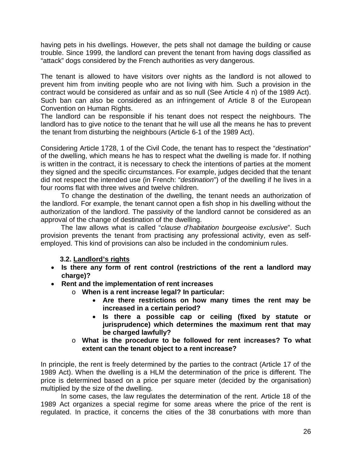having pets in his dwellings. However, the pets shall not damage the building or cause trouble. Since 1999, the landlord can prevent the tenant from having dogs classified as "attack" dogs considered by the French authorities as very dangerous.

The tenant is allowed to have visitors over nights as the landlord is not allowed to prevent him from inviting people who are not living with him. Such a provision in the contract would be considered as unfair and as so null (See Article 4 n) of the 1989 Act). Such ban can also be considered as an infringement of Article 8 of the European Convention on Human Rights.

The landlord can be responsible if his tenant does not respect the neighbours. The landlord has to give notice to the tenant that he will use all the means he has to prevent the tenant from disturbing the neighbours (Article 6-1 of the 1989 Act).

Considering Article 1728, 1 of the Civil Code, the tenant has to respect the "*destination*" of the dwelling, which means he has to respect what the dwelling is made for. If nothing is written in the contract, it is necessary to check the intentions of parties at the moment they signed and the specific circumstances. For example, judges decided that the tenant did not respect the intended use (in French: "*destination*") of the dwelling if he lives in a four rooms flat with three wives and twelve children.

To change the destination of the dwelling, the tenant needs an authorization of the landlord. For example, the tenant cannot open a fish shop in his dwelling without the authorization of the landlord. The passivity of the landlord cannot be considered as an approval of the change of destination of the dwelling.

The law allows what is called "*clause d'habitation bourgeoise exclusive*". Such provision prevents the tenant from practising any professional activity, even as selfemployed. This kind of provisions can also be included in the condominium rules.

## **3.2. Landlord's rights**

- **Is there any form of rent control (restrictions of the rent a landlord may charge)?**
- **Rent and the implementation of rent increases**
	- o **When is a rent increase legal? In particular:**
		- **Are there restrictions on how many times the rent may be increased in a certain period?**
		- **Is there a possible cap or ceiling (fixed by statute or jurisprudence) which determines the maximum rent that may be charged lawfully?**
	- o **What is the procedure to be followed for rent increases? To what extent can the tenant object to a rent increase?**

In principle, the rent is freely determined by the parties to the contract (Article 17 of the 1989 Act). When the dwelling is a HLM the determination of the price is different. The price is determined based on a price per square meter (decided by the organisation) multiplied by the size of the dwelling.

In some cases, the law regulates the determination of the rent. Article 18 of the 1989 Act organizes a special regime for some areas where the price of the rent is regulated. In practice, it concerns the cities of the 38 conurbations with more than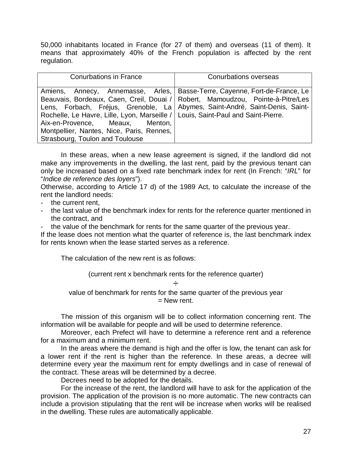50,000 inhabitants located in France (for 27 of them) and overseas (11 of them). It means that approximately 40% of the French population is affected by the rent regulation.

| <b>Conurbations in France</b>                                                                                                                                                                         | Conurbations overseas                                                                                                                                                                                                                        |
|-------------------------------------------------------------------------------------------------------------------------------------------------------------------------------------------------------|----------------------------------------------------------------------------------------------------------------------------------------------------------------------------------------------------------------------------------------------|
| Rochelle, Le Havre, Lille, Lyon, Marseille /   Louis, Saint-Paul and Saint-Pierre.<br>Aix-en-Provence, Meaux, Menton,<br>Montpellier, Nantes, Nice, Paris, Rennes,<br>Strasbourg, Toulon and Toulouse | Amiens, Annecy, Annemasse, Arles, Basse-Terre, Cayenne, Fort-de-France, Le<br>Beauvais, Bordeaux, Caen, Creil, Douai / Robert, Mamoudzou, Pointe-à-Pitre/Les<br>Lens, Forbach, Fréjus, Grenoble, La Abymes, Saint-André, Saint-Denis, Saint- |

In these areas, when a new lease agreement is signed, if the landlord did not make any improvements in the dwelling, the last rent, paid by the previous tenant can only be increased based on a fixed rate benchmark index for rent (In French: "*IRL*" for "*Indice de reference des loyers*").

Otherwise, according to Article 17 d) of the 1989 Act, to calculate the increase of the rent the landlord needs:

- the current rent,
- the last value of the benchmark index for rents for the reference quarter mentioned in the contract, and
- the value of the benchmark for rents for the same quarter of the previous year.

If the lease does not mention what the quarter of reference is, the last benchmark index for rents known when the lease started serves as a reference.

The calculation of the new rent is as follows:

(current rent x benchmark rents for the reference quarter)

#### ÷

value of benchmark for rents for the same quarter of the previous year  $=$  New rent.

The mission of this organism will be to collect information concerning rent. The information will be available for people and will be used to determine reference.

Moreover, each Prefect will have to determine a reference rent and a reference for a maximum and a minimum rent.

In the areas where the demand is high and the offer is low, the tenant can ask for a lower rent if the rent is higher than the reference. In these areas, a decree will determine every year the maximum rent for empty dwellings and in case of renewal of the contract. These areas will be determined by a decree.

Decrees need to be adopted for the details.

For the increase of the rent, the landlord will have to ask for the application of the provision. The application of the provision is no more automatic. The new contracts can include a provision stipulating that the rent will be increase when works will be realised in the dwelling. These rules are automatically applicable.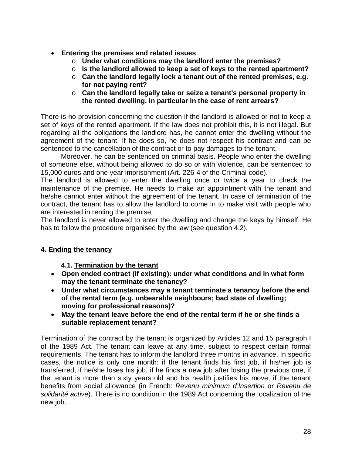- **Entering the premises and related issues**
	- o **Under what conditions may the landlord enter the premises?**
	- o **Is the landlord allowed to keep a set of keys to the rented apartment?**
	- o **Can the landlord legally lock a tenant out of the rented premises, e.g. for not paying rent?**
	- o **Can the landlord legally take or seize a tenant's personal property in the rented dwelling, in particular in the case of rent arrears?**

There is no provision concerning the question if the landlord is allowed or not to keep a set of keys of the rented apartment. If the law does not prohibit this, it is not illegal. But regarding all the obligations the landlord has, he cannot enter the dwelling without the agreement of the tenant. If he does so, he does not respect his contract and can be sentenced to the cancellation of the contract or to pay damages to the tenant.

Moreover, he can be sentenced on criminal basis. People who enter the dwelling of someone else, without being allowed to do so or with violence, can be sentenced to 15,000 euros and one year imprisonment (Art. 226-4 of the Criminal code).

The landlord is allowed to enter the dwelling once or twice a year to check the maintenance of the premise. He needs to make an appointment with the tenant and he/she cannot enter without the agreement of the tenant. In case of termination of the contract, the tenant has to allow the landlord to come in to make visit with people who are interested in renting the premise.

The landlord is never allowed to enter the dwelling and change the keys by himself. He has to follow the procedure organised by the law (see question 4.2).

## **4. Ending the tenancy**

**4.1. Termination by the tenant**

- **Open ended contract (if existing): under what conditions and in what form may the tenant terminate the tenancy?**
- **Under what circumstances may a tenant terminate a tenancy before the end of the rental term (e.g. unbearable neighbours; bad state of dwelling; moving for professional reasons)?**
- **May the tenant leave before the end of the rental term if he or she finds a suitable replacement tenant?**

Termination of the contract by the tenant is organized by Articles 12 and 15 paragraph I of the 1989 Act. The tenant can leave at any time, subject to respect certain formal requirements. The tenant has to inform the landlord three months in advance. In specific cases, the notice is only one month: if the tenant finds his first job, if his/her job is transferred, if he/she loses his job, if he finds a new job after losing the previous one, if the tenant is more than sixty years old and his health justifies his move, if the tenant benefits from social allowance (in French: *Revenu minimum d'Insertion* or *Revenu de solidarité active*). There is no condition in the 1989 Act concerning the localization of the new job.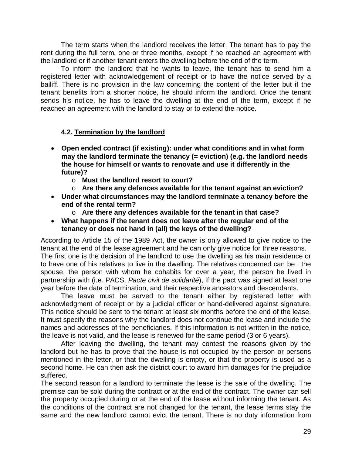The term starts when the landlord receives the letter. The tenant has to pay the rent during the full term, one or three months, except if he reached an agreement with the landlord or if another tenant enters the dwelling before the end of the term.

To inform the landlord that he wants to leave, the tenant has to send him a registered letter with acknowledgement of receipt or to have the notice served by a bailiff. There is no provision in the law concerning the content of the letter but if the tenant benefits from a shorter notice, he should inform the landlord. Once the tenant sends his notice, he has to leave the dwelling at the end of the term, except if he reached an agreement with the landlord to stay or to extend the notice.

## **4.2. Termination by the landlord**

- **Open ended contract (if existing): under what conditions and in what form may the landlord terminate the tenancy (= eviction) (e.g. the landlord needs the house for himself or wants to renovate and use it differently in the future)?**
	- o **Must the landlord resort to court?**
	- o **Are there any defences available for the tenant against an eviction?**
- **Under what circumstances may the landlord terminate a tenancy before the end of the rental term?**
	- o **Are there any defences available for the tenant in that case?**
- **What happens if the tenant does not leave after the regular end of the tenancy or does not hand in (all) the keys of the dwelling?**

According to Article 15 of the 1989 Act, the owner is only allowed to give notice to the tenant at the end of the lease agreement and he can only give notice for three reasons. The first one is the decision of the landlord to use the dwelling as his main residence or to have one of his relatives to live in the dwelling. The relatives concerned can be : the spouse, the person with whom he cohabits for over a year, the person he lived in partnership with (i.e. PACS, *Pacte civil de solidarité*), if the pact was signed at least one year before the date of termination, and their respective ancestors and descendants.

The leave must be served to the tenant either by registered letter with acknowledgment of receipt or by a judicial officer or hand-delivered against signature. This notice should be sent to the tenant at least six months before the end of the lease. It must specify the reasons why the landlord does not continue the lease and include the names and addresses of the beneficiaries. If this information is not written in the notice, the leave is not valid, and the lease is renewed for the same period (3 or 6 years).

After leaving the dwelling, the tenant may contest the reasons given by the landlord but he has to prove that the house is not occupied by the person or persons mentioned in the letter, or that the dwelling is empty, or that the property is used as a second home. He can then ask the district court to award him damages for the prejudice suffered.

The second reason for a landlord to terminate the lease is the sale of the dwelling. The premise can be sold during the contract or at the end of the contract. The owner can sell the property occupied during or at the end of the lease without informing the tenant. As the conditions of the contract are not changed for the tenant, the lease terms stay the same and the new landlord cannot evict the tenant. There is no duty information from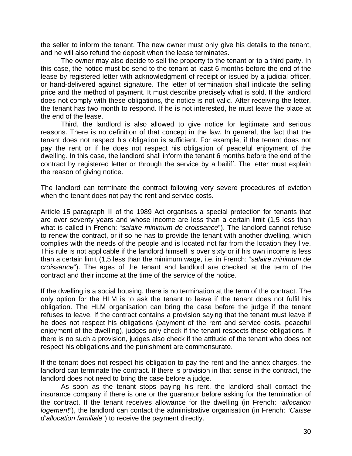the seller to inform the tenant. The new owner must only give his details to the tenant, and he will also refund the deposit when the lease terminates.

The owner may also decide to sell the property to the tenant or to a third party. In this case, the notice must be send to the tenant at least 6 months before the end of the lease by registered letter with acknowledgment of receipt or issued by a judicial officer, or hand-delivered against signature. The letter of termination shall indicate the selling price and the method of payment. It must describe precisely what is sold. If the landlord does not comply with these obligations, the notice is not valid. After receiving the letter, the tenant has two month to respond. If he is not interested, he must leave the place at the end of the lease.

Third, the landlord is also allowed to give notice for legitimate and serious reasons. There is no definition of that concept in the law. In general, the fact that the tenant does not respect his obligation is sufficient. For example, if the tenant does not pay the rent or if he does not respect his obligation of peaceful enjoyment of the dwelling. In this case, the landlord shall inform the tenant 6 months before the end of the contract by registered letter or through the service by a bailiff. The letter must explain the reason of giving notice.

The landlord can terminate the contract following very severe procedures of eviction when the tenant does not pay the rent and service costs.

Article 15 paragraph III of the 1989 Act organises a special protection for tenants that are over seventy years and whose income are less than a certain limit (1,5 less than what is called in French: "*salaire minimum de croissance*"). The landlord cannot refuse to renew the contract, or if so he has to provide the tenant with another dwelling, which complies with the needs of the people and is located not far from the location they live. This rule is not applicable if the landlord himself is over sixty or if his own income is less than a certain limit (1,5 less than the minimum wage, i.e. in French: "*salaire minimum de croissance*"). The ages of the tenant and landlord are checked at the term of the contract and their income at the time of the service of the notice.

If the dwelling is a social housing, there is no termination at the term of the contract. The only option for the HLM is to ask the tenant to leave if the tenant does not fulfil his obligation. The HLM organisation can bring the case before the judge if the tenant refuses to leave. If the contract contains a provision saying that the tenant must leave if he does not respect his obligations (payment of the rent and service costs, peaceful enjoyment of the dwelling), judges only check if the tenant respects these obligations. If there is no such a provision, judges also check if the attitude of the tenant who does not respect his obligations and the punishment are commensurate.

If the tenant does not respect his obligation to pay the rent and the annex charges, the landlord can terminate the contract. If there is provision in that sense in the contract, the landlord does not need to bring the case before a judge.

As soon as the tenant stops paying his rent, the landlord shall contact the insurance company if there is one or the guarantor before asking for the termination of the contract. If the tenant receives allowance for the dwelling (in French: "*allocation logement*"), the landlord can contact the administrative organisation (in French: "*Caisse d'allocation familiale*") to receive the payment directly.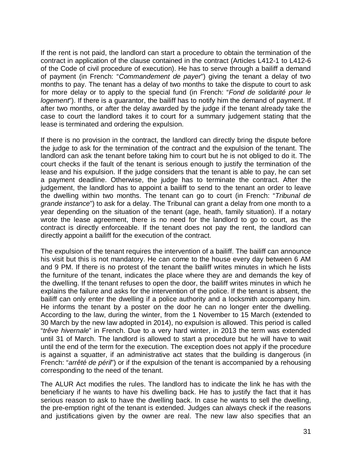If the rent is not paid, the landlord can start a procedure to obtain the termination of the contract in application of the clause contained in the contract (Articles L412-1 to L412-6 of the Code of civil procedure of execution). He has to serve through a bailiff a demand of payment (in French: "*Commandement de payer*") giving the tenant a delay of two months to pay. The tenant has a delay of two months to take the dispute to court to ask for more delay or to apply to the special fund (in French: "*Fond de solidarité pour le logement*"). If there is a guarantor, the bailiff has to notify him the demand of payment. If after two months, or after the delay awarded by the judge if the tenant already take the case to court the landlord takes it to court for a summary judgement stating that the lease is terminated and ordering the expulsion.

If there is no provision in the contract, the landlord can directly bring the dispute before the judge to ask for the termination of the contract and the expulsion of the tenant. The landlord can ask the tenant before taking him to court but he is not obliged to do it. The court checks if the fault of the tenant is serious enough to justify the termination of the lease and his expulsion. If the judge considers that the tenant is able to pay, he can set a payment deadline. Otherwise, the judge has to terminate the contract. After the judgement, the landlord has to appoint a bailiff to send to the tenant an order to leave the dwelling within two months. The tenant can go to court (in French: "*Tribunal de grande instance*") to ask for a delay. The Tribunal can grant a delay from one month to a year depending on the situation of the tenant (age, heath, family situation). If a notary wrote the lease agreement, there is no need for the landlord to go to court, as the contract is directly enforceable. If the tenant does not pay the rent, the landlord can directly appoint a bailiff for the execution of the contract.

The expulsion of the tenant requires the intervention of a bailiff. The bailiff can announce his visit but this is not mandatory. He can come to the house every day between 6 AM and 9 PM. If there is no protest of the tenant the bailiff writes minutes in which he lists the furniture of the tenant, indicates the place where they are and demands the key of the dwelling. If the tenant refuses to open the door, the bailiff writes minutes in which he explains the failure and asks for the intervention of the police. If the tenant is absent, the bailiff can only enter the dwelling if a police authority and a locksmith accompany him. He informs the tenant by a poster on the door he can no longer enter the dwelling. According to the law, during the winter, from the 1 November to 15 March (extended to 30 March by the new law adopted in 2014), no expulsion is allowed. This period is called "*trêve hivernale*" in French. Due to a very hard winter, in 2013 the term was extended until 31 of March. The landlord is allowed to start a procedure but he will have to wait until the end of the term for the execution. The exception does not apply if the procedure is against a squatter, if an administrative act states that the building is dangerous (in French: "*arrêté de péril*") or if the expulsion of the tenant is accompanied by a rehousing corresponding to the need of the tenant.

The ALUR Act modifies the rules. The landlord has to indicate the link he has with the beneficiary if he wants to have his dwelling back. He has to justify the fact that it has serious reason to ask to have the dwelling back. In case he wants to sell the dwelling, the pre-emption right of the tenant is extended. Judges can always check if the reasons and justifications given by the owner are real. The new law also specifies that an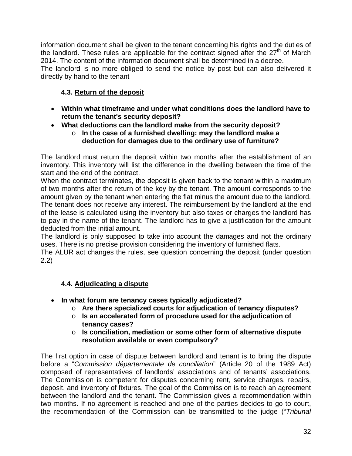information document shall be given to the tenant concerning his rights and the duties of the landlord. These rules are applicable for the contract signed after the  $27<sup>th</sup>$  of March 2014. The content of the information document shall be determined in a decree.

The landlord is no more obliged to send the notice by post but can also delivered it directly by hand to the tenant

## **4.3. Return of the deposit**

- **Within what timeframe and under what conditions does the landlord have to return the tenant's security deposit?**
- **What deductions can the landlord make from the security deposit?**
	- o **In the case of a furnished dwelling: may the landlord make a deduction for damages due to the ordinary use of furniture?**

The landlord must return the deposit within two months after the establishment of an inventory. This inventory will list the difference in the dwelling between the time of the start and the end of the contract.

When the contract terminates, the deposit is given back to the tenant within a maximum of two months after the return of the key by the tenant. The amount corresponds to the amount given by the tenant when entering the flat minus the amount due to the landlord. The tenant does not receive any interest. The reimbursement by the landlord at the end of the lease is calculated using the inventory but also taxes or charges the landlord has to pay in the name of the tenant. The landlord has to give a justification for the amount deducted from the initial amount.

The landlord is only supposed to take into account the damages and not the ordinary uses. There is no precise provision considering the inventory of furnished flats.

The ALUR act changes the rules, see question concerning the deposit (under question 2.2)

## **4.4. Adjudicating a dispute**

- **In what forum are tenancy cases typically adjudicated?**
	- o **Are there specialized courts for adjudication of tenancy disputes?**
	- o **Is an accelerated form of procedure used for the adjudication of tenancy cases?**
	- o **Is conciliation, mediation or some other form of alternative dispute resolution available or even compulsory?**

The first option in case of dispute between landlord and tenant is to bring the dispute before a "*Commission départementale de conciliation*" (Article 20 of the 1989 Act) composed of representatives of landlords' associations and of tenants' associations. The Commission is competent for disputes concerning rent, service charges, repairs, deposit, and inventory of fixtures. The goal of the Commission is to reach an agreement between the landlord and the tenant. The Commission gives a recommendation within two months. If no agreement is reached and one of the parties decides to go to court, the recommendation of the Commission can be transmitted to the judge ("*Tribunal*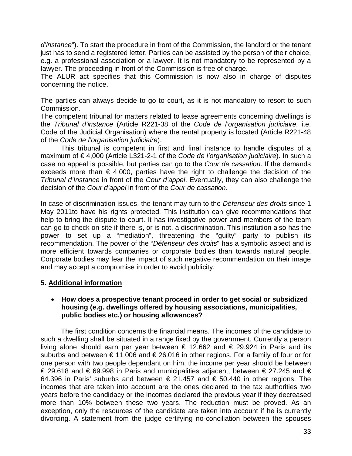*d'instance*"). To start the procedure in front of the Commission, the landlord or the tenant just has to send a registered letter. Parties can be assisted by the person of their choice, e.g. a professional association or a lawyer. It is not mandatory to be represented by a lawyer. The proceeding in front of the Commission is free of charge.

The ALUR act specifies that this Commission is now also in charge of disputes concerning the notice.

The parties can always decide to go to court, as it is not mandatory to resort to such Commission.

The competent tribunal for matters related to lease agreements concerning dwellings is the *Tribunal d'instance* (Article R221-38 of the *Code de l'organisation judiciaire,* i.e. Code of the Judicial Organisation) where the rental property is located (Article R221-48 of the *Code de l'organisation judiciaire*).

This tribunal is competent in first and final instance to handle disputes of a maximum of € 4,000 (Article L321-2-1 of the *Code de l'organisation judiciaire*). In such a case no appeal is possible, but parties can go to the *Cour de cassation*. If the demands exceeds more than  $\epsilon$  4,000, parties have the right to challenge the decision of the *Tribunal d'Instance* in front of the *Cour d'appel*. Eventually, they can also challenge the decision of the *Cour d'appel* in front of the *Cour de cassation*.

In case of discrimination issues, the tenant may turn to the *Défenseur des droits* since 1 May 2011to have his rights protected. This institution can give recommendations that help to bring the dispute to court. It has investigative power and members of the team can go to check on site if there is, or is not, a discrimination. This institution also has the power to set up a "mediation", threatening the "guilty" party to publish its recommendation. The power of the "*Défenseur des droits*" has a symbolic aspect and is more efficient towards companies or corporate bodies than towards natural people. Corporate bodies may fear the impact of such negative recommendation on their image and may accept a compromise in order to avoid publicity.

## **5. Additional information**

## • **How does a prospective tenant proceed in order to get social or subsidized housing (e.g. dwellings offered by housing associations, municipalities, public bodies etc.) or housing allowances?**

The first condition concerns the financial means. The incomes of the candidate to such a dwelling shall be situated in a range fixed by the government. Currently a person living alone should earn per year between € 12.662 and € 29.924 in Paris and its suburbs and between  $\epsilon$  11.006 and  $\epsilon$  26.016 in other regions. For a family of four or for one person with two people dependant on him, the income per year should be between € 29.618 and € 69.998 in Paris and municipalities adjacent, between € 27.245 and € 64.396 in Paris' suburbs and between € 21.457 and € 50.440 in other regions. The incomes that are taken into account are the ones declared to the tax authorities two years before the candidacy or the incomes declared the previous year if they decreased more than 10% between these two years. The reduction must be proved. As an exception, only the resources of the candidate are taken into account if he is currently divorcing. A statement from the judge certifying no-conciliation between the spouses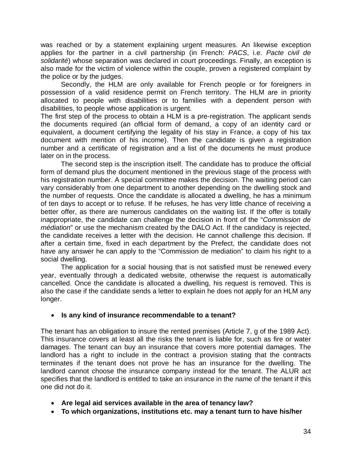was reached or by a statement explaining urgent measures. An likewise exception applies for the partner in a civil partnership (in French: *PACS*, i.e. *Pacte civil de solidarité*) whose separation was declared in court proceedings. Finally, an exception is also made for the victim of violence within the couple, proven a registered complaint by the police or by the judges.

Secondly, the HLM are only available for French people or for foreigners in possession of a valid residence permit on French territory. The HLM are in priority allocated to people with disabilities or to families with a dependent person with disabilities, to people whose application is urgent.

The first step of the process to obtain a HLM is a pre-registration. The applicant sends the documents required (an official form of demand, a copy of an identity card or equivalent, a document certifying the legality of his stay in France, a copy of his tax document with mention of his income). Then the candidate is given a registration number and a certificate of registration and a list of the documents he must produce later on in the process.

The second step is the inscription itself. The candidate has to produce the official form of demand plus the document mentioned in the previous stage of the process with his registration number. A special committee makes the decision. The waiting period can vary considerably from one department to another depending on the dwelling stock and the number of requests. Once the candidate is allocated a dwelling, he has a minimum of ten days to accept or to refuse. If he refuses, he has very little chance of receiving a better offer, as there are numerous candidates on the waiting list. If the offer is totally inappropriate, the candidate can challenge the decision in front of the "*Commission de médiation*" or use the mechanism created by the DALO Act. If the candidacy is rejected, the candidate receives a letter with the decision. He cannot challenge this decision. If after a certain time, fixed in each department by the Prefect, the candidate does not have any answer he can apply to the "Commission de mediation" to claim his right to a social dwelling.

The application for a social housing that is not satisfied must be renewed every year, eventually through a dedicated website, otherwise the request is automatically cancelled. Once the candidate is allocated a dwelling, his request is removed. This is also the case if the candidate sends a letter to explain he does not apply for an HLM any longer.

## • **Is any kind of insurance recommendable to a tenant?**

The tenant has an obligation to insure the rented premises (Article 7, g of the 1989 Act). This insurance covers at least all the risks the tenant is liable for, such as fire or water damages. The tenant can buy an insurance that covers more potential damages. The landlord has a right to include in the contract a provision stating that the contracts terminates if the tenant does not prove he has an insurance for the dwelling. The landlord cannot choose the insurance company instead for the tenant. The ALUR act specifies that the landlord is entitled to take an insurance in the name of the tenant if this one did not do it.

- **Are legal aid services available in the area of tenancy law?**
- **To which organizations, institutions etc. may a tenant turn to have his/her**